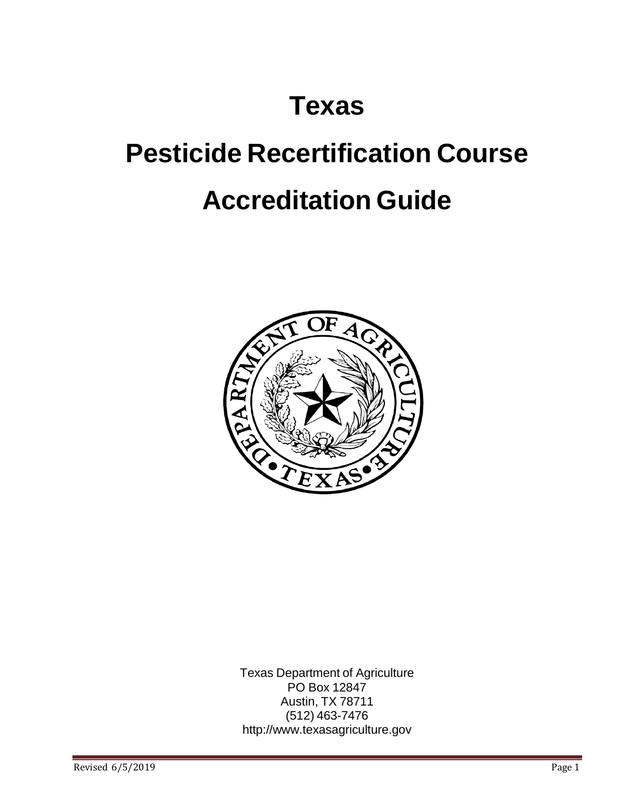## **Texas**

# **Pesticide Recertification Course Accreditation Guide**



Texas Department of Agriculture PO Box 12847 Austin, TX 78711 (512) 463-7476 [http://www.texasagriculture.gov](http://www.texasagriculture.gov/)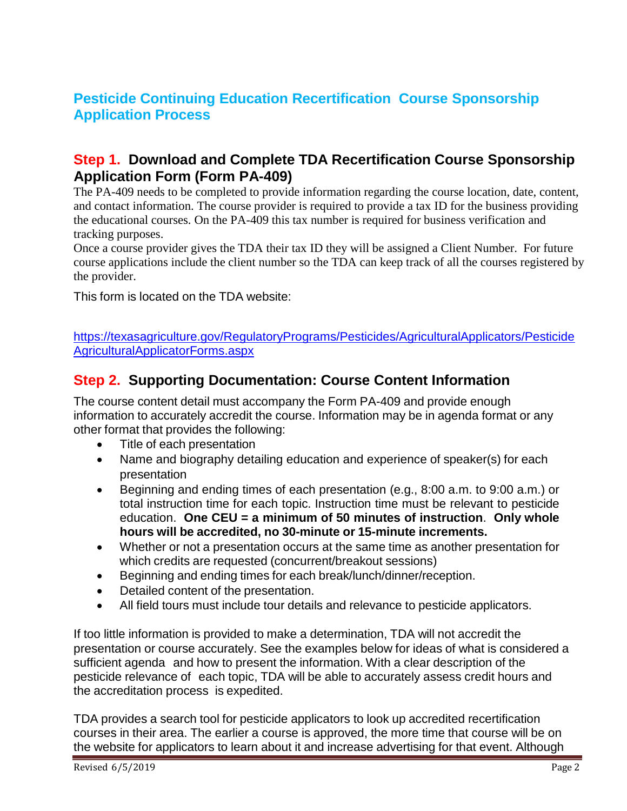## **Pesticide Continuing Education Recertification Course Sponsorship Application Process**

#### **Step 1. Download and Complete TDA Recertification Course Sponsorship Application Form (Form PA-409)**

The PA-409 needs to be completed to provide information regarding the course location, date, content, and contact information. The course provider is required to provide a tax ID for the business providing the educational courses. On the PA-409 this tax number is required for business verification and tracking purposes.

Once a course provider gives the TDA their tax ID they will be assigned a Client Number. For future course applications include the client number so the TDA can keep track of all the courses registered by the provider.

This form is located on the TDA website:

[https://texasagriculture.gov/RegulatoryPrograms/Pesticides/AgriculturalApplicators/Pesticide](https://texasagriculture.gov/RegulatoryPrograms/Pesticides/AgriculturalApplicators/PesticideAgriculturalApplicatorForms.aspx) [AgriculturalApplicatorForms.aspx](https://texasagriculture.gov/RegulatoryPrograms/Pesticides/AgriculturalApplicators/PesticideAgriculturalApplicatorForms.aspx)

#### **Step 2. Supporting Documentation: Course Content Information**

The course content detail must accompany the Form PA-409 and provide enough information to accurately accredit the course. Information may be in agenda format or any other format that provides the following:

- Title of each presentation
- Name and biography detailing education and experience of speaker(s) for each presentation
- Beginning and ending times of each presentation (e.g., 8:00 a.m. to 9:00 a.m.) or total instruction time for each topic. Instruction time must be relevant to pesticide education. **One CEU = a minimum of 50 minutes of instruction**. **Only whole hours will be accredited, no 30-minute or 15-minute increments.**
- Whether or not a presentation occurs at the same time as another presentation for which credits are requested (concurrent/breakout sessions)
- Beginning and ending times for each break/lunch/dinner/reception.
- Detailed content of the presentation.
- All field tours must include tour details and relevance to pesticide applicators.

If too little information is provided to make a determination, TDA will not accredit the presentation or course accurately. See the examples below for ideas of what is considered a sufficient agenda and how to present the information. With a clear description of the pesticide relevance of each topic, TDA will be able to accurately assess credit hours and the accreditation process is expedited.

TDA provides a search tool for pesticide applicators to look up accredited recertification courses in their area. The earlier a course is approved, the more time that course will be on the website for applicators to learn about it and increase advertising for that event. Although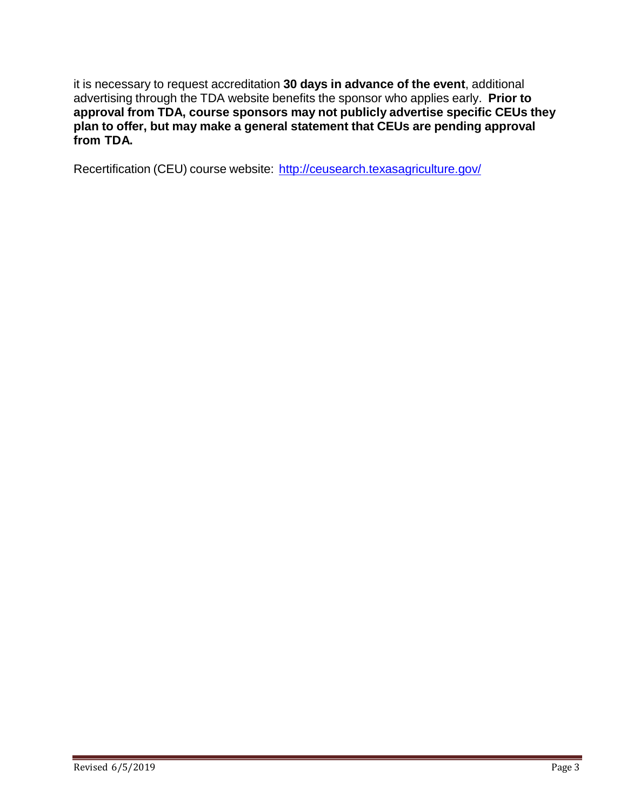it is necessary to request accreditation **30 days in advance of the event**, additional advertising through the TDA website benefits the sponsor who applies early. **Prior to approval from TDA, course sponsors may not publicly advertise specific CEUs they plan to offer, but may make a general statement that CEUs are pending approval from TDA.**

Recertification (CEU) course website: <http://ceusearch.texasagriculture.gov/>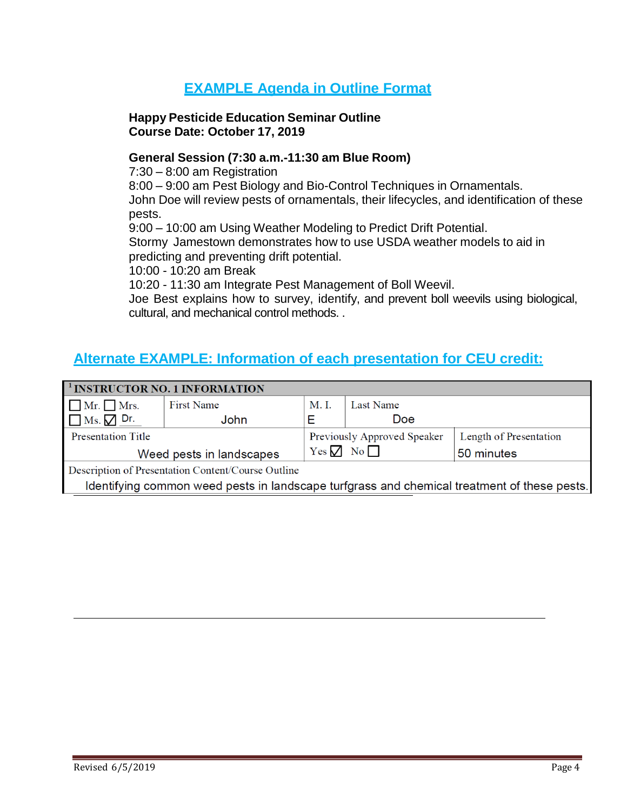## **EXAMPLE Agenda in Outline Format**

#### **Happy Pesticide Education Seminar Outline Course Date: October 17, 2019**

#### **General Session (7:30 a.m.-11:30 am Blue Room)**

7:30 – 8:00 am Registration

8:00 – 9:00 am Pest Biology and Bio-Control Techniques in Ornamentals.

John Doe will review pests of ornamentals, their lifecycles, and identification of these pests.

9:00 – 10:00 am Using Weather Modeling to Predict Drift Potential.

Stormy Jamestown demonstrates how to use USDA weather models to aid in predicting and preventing drift potential.

10:00 - 10:20 am Break

10:20 - 11:30 am Integrate Pest Management of Boll Weevil.

Joe Best explains how to survey, identify, and prevent boll weevils using biological, cultural, and mechanical control methods. .

## **Alternate EXAMPLE: Information of each presentation for CEU credit:**

|                                                                                             | <sup>1</sup> INSTRUCTOR NO. 1 INFORMATION |                             |                          |                        |
|---------------------------------------------------------------------------------------------|-------------------------------------------|-----------------------------|--------------------------|------------------------|
| $\Box$ Mr. $\Box$ Mrs.                                                                      | First Name                                | M. I.                       | Last Name                |                        |
| $\Box$ Ms. $\Box$ Dr.                                                                       | John                                      |                             | Doe                      |                        |
| <b>Presentation Title</b>                                                                   |                                           | Previously Approved Speaker |                          | Length of Presentation |
| Weed pests in landscapes                                                                    |                                           |                             | Yes $\nabla$ No $\nabla$ | 50 minutes             |
| Description of Presentation Content/Course Outline                                          |                                           |                             |                          |                        |
| Identifying common weed pests in landscape turfgrass and chemical treatment of these pests. |                                           |                             |                          |                        |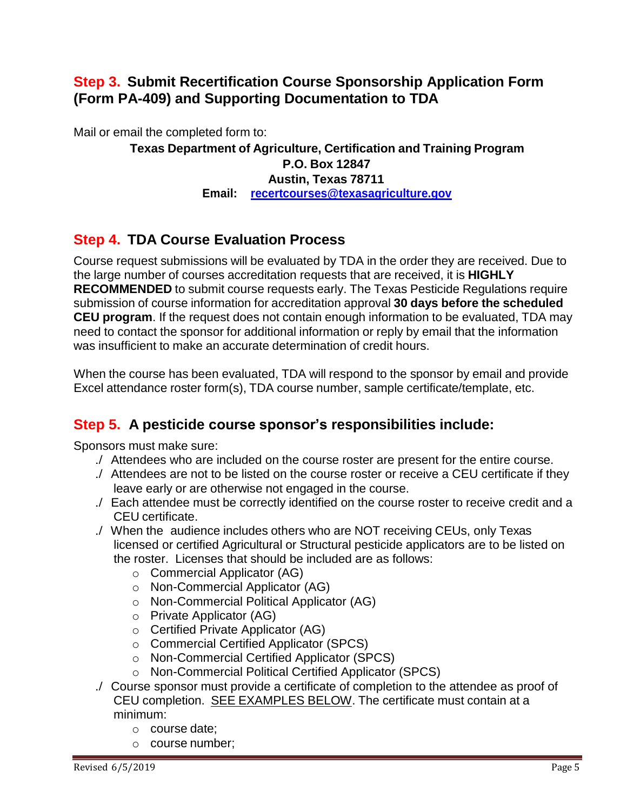## **Step 3. Submit Recertification Course Sponsorship Application Form (Form PA-409) and Supporting Documentation to TDA**

Mail or email the completed form to:

#### **Texas Department of Agriculture, Certification and Training Program P.O. Box 12847 Austin, Texas 78711 Email: [recertcourses@texasagriculture.gov](mailto:recertcourses@texasagriculture.gov)**

## **Step 4. TDA Course Evaluation Process**

Course request submissions will be evaluated by TDA in the order they are received. Due to the large number of courses accreditation requests that are received, it is **HIGHLY RECOMMENDED** to submit course requests early. The Texas Pesticide Regulations require submission of course information for accreditation approval **30 days before the scheduled CEU program**. If the request does not contain enough information to be evaluated, TDA may need to contact the sponsor for additional information or reply by email that the information was insufficient to make an accurate determination of credit hours.

When the course has been evaluated, TDA will respond to the sponsor by email and provide Excel attendance roster form(s), TDA course number, sample certificate/template, etc.

## **Step 5. A pesticide course sponsor's responsibilities include:**

Sponsors must make sure:

- ./ Attendees who are included on the course roster are present for the entire course.
- ./ Attendees are not to be listed on the course roster or receive a CEU certificate if they leave early or are otherwise not engaged in the course.
- ./ Each attendee must be correctly identified on the course roster to receive credit and a CEU certificate.
- ./ When the audience includes others who are NOT receiving CEUs, only Texas licensed or certified Agricultural or Structural pesticide applicators are to be listed on the roster. Licenses that should be included are as follows:
	- o Commercial Applicator (AG)
	- o Non-Commercial Applicator (AG)
	- o Non-Commercial Political Applicator (AG)
	- o Private Applicator (AG)
	- o Certified Private Applicator (AG)
	- o Commercial Certified Applicator (SPCS)
	- o Non-Commercial Certified Applicator (SPCS)
	- o Non-Commercial Political Certified Applicator (SPCS)
- ./ Course sponsor must provide a certificate of completion to the attendee as proof of CEU completion. SEE EXAMPLES BELOW. The certificate must contain at a minimum:
	- o course date;
	- o course number;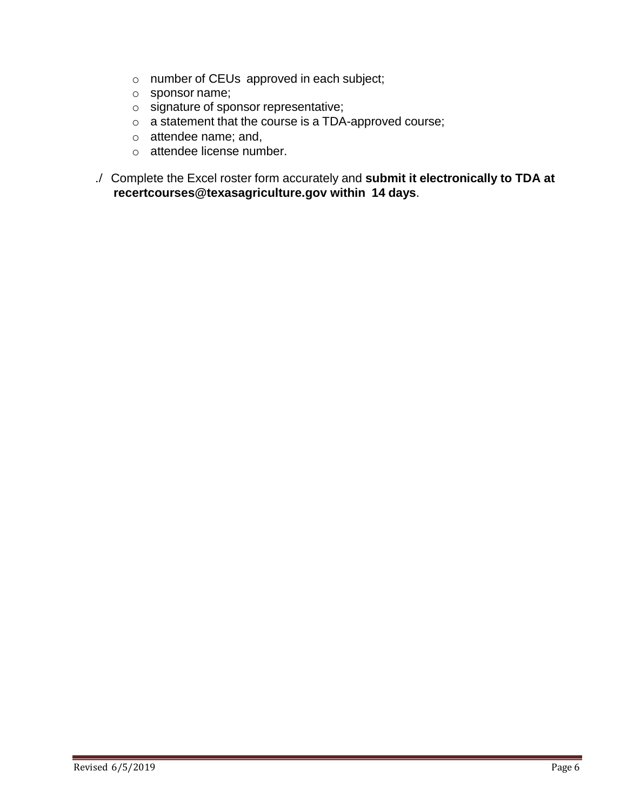- o number of CEUs approved in each subject;
- o sponsor name;
- o signature of sponsor representative;
- o a statement that the course is a TDA-approved course;
- o attendee name; and,
- o attendee license number.
- ./ Complete the Excel roster form accurately and **submit it electronically to TDA at recertcourses@texasagriculture.gov within 14 days**.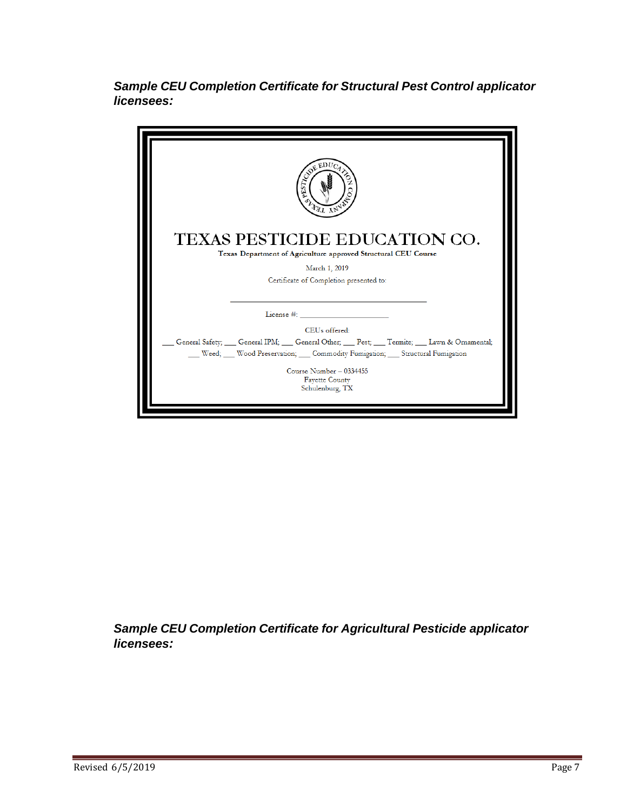*Sample CEU Completion Certificate for Structural Pest Control applicator licensees:*

| <b>TAL ANY</b>                                                                                    |
|---------------------------------------------------------------------------------------------------|
| TEXAS PESTICIDE EDUCATION CO.<br>Texas Department of Agriculture approved Structural CEU Course   |
| March 1, 2019                                                                                     |
| Certificate of Completion presented to:                                                           |
|                                                                                                   |
|                                                                                                   |
| CEUs offered:                                                                                     |
| General Safety; ___ General IPM; ___ General Other; ___ Pest; ___ Termite; ___ Lawn & Ornamental; |
| Weed; Wood Preservation; Commodity Fumigation; Structural Fumigation                              |
| Course Number - 0334455<br><b>Fayette County</b><br>Schulenburg, TX                               |

*Sample CEU Completion Certificate for Agricultural Pesticide applicator licensees:*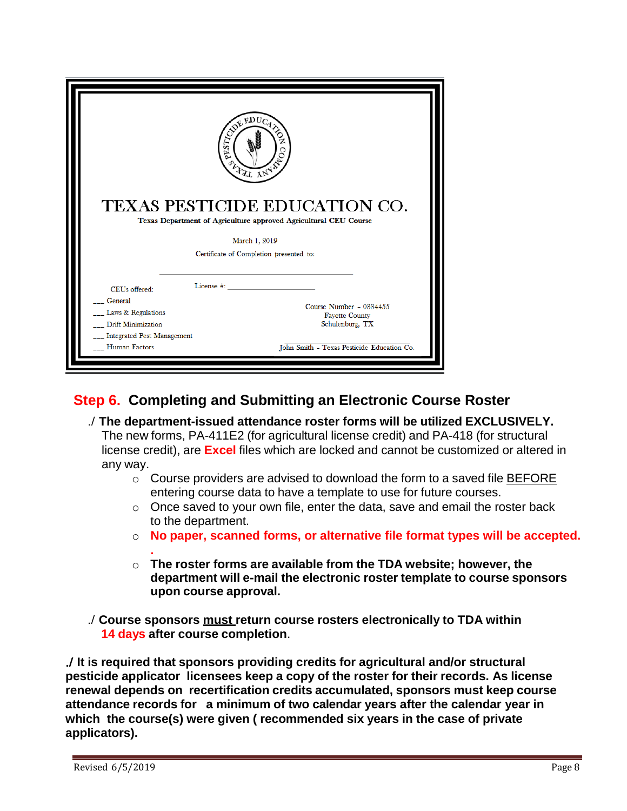|                                                         | ESTREBUCTS<br>SLATT LAND<br>TEXAS PESTICIDE EDUCATION CO.                                                                    |
|---------------------------------------------------------|------------------------------------------------------------------------------------------------------------------------------|
|                                                         | Texas Department of Agriculture approved Agricultural CEU Course<br>March 1, 2019<br>Certificate of Completion presented to: |
| CEUs offered:                                           | License #:                                                                                                                   |
| General                                                 | Course Number - 0334455                                                                                                      |
| Laws & Regulations                                      | <b>Fayette County</b>                                                                                                        |
| Drift Minimization<br><b>Integrated Pest Management</b> | Schulenburg, TX                                                                                                              |

## **Step 6. Completing and Submitting an Electronic Course Roster**

- ./ **The department-issued attendance roster forms will be utilized EXCLUSIVELY.** The new forms, PA-411E2 (for agricultural license credit) and PA-418 (for structural license credit), are **Excel** files which are locked and cannot be customized or altered in any way.
	- o Course providers are advised to download the form to a saved file BEFORE entering course data to have a template to use for future courses.
	- o Once saved to your own file, enter the data, save and email the roster back to the department.
	- o **No paper, scanned forms, or alternative file format types will be accepted.**
	- **.** o **The roster forms are available from the TDA website; however, the department will e-mail the electronic roster template to course sponsors upon course approval.**
- ./ **Course sponsors must return course rosters electronically to TDA within 14 days after course completion**.

./ **It is required that sponsors providing credits for agricultural and/or structural pesticide applicator licensees keep a copy of the roster for their records. As license renewal depends on recertification credits accumulated, sponsors must keep course attendance records for a minimum of two calendar years after the calendar year in which the course(s) were given ( recommended six years in the case of private applicators).**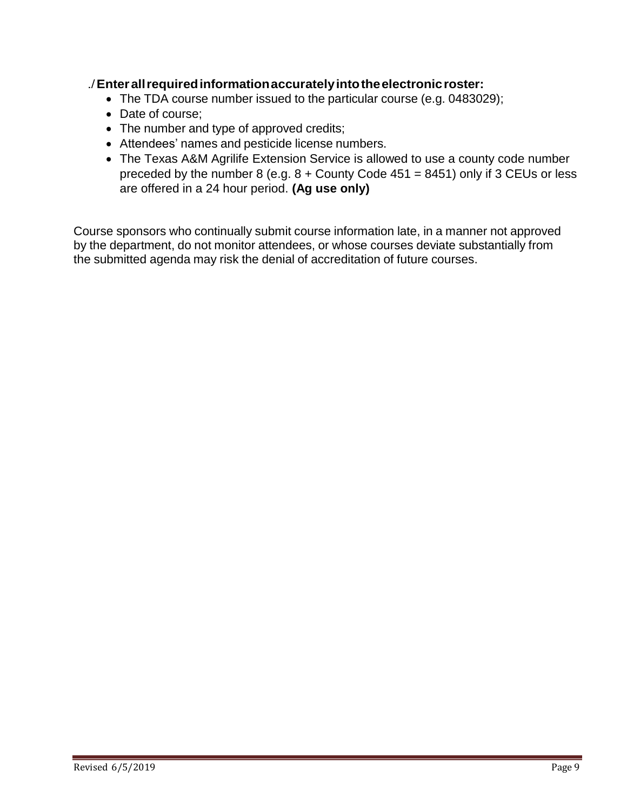#### ./**Enterallrequiredinformationaccuratelyintotheelectronicroster:**

- The TDA course number issued to the particular course (e.g. 0483029);
- Date of course;
- The number and type of approved credits;
- Attendees' names and pesticide license numbers.
- The Texas A&M Agrilife Extension Service is allowed to use a county code number preceded by the number 8 (e.g.  $8 +$  County Code 451 = 8451) only if 3 CEUs or less are offered in a 24 hour period. **(Ag use only)**

Course sponsors who continually submit course information late, in a manner not approved by the department, do not monitor attendees, or whose courses deviate substantially from the submitted agenda may risk the denial of accreditation of future courses.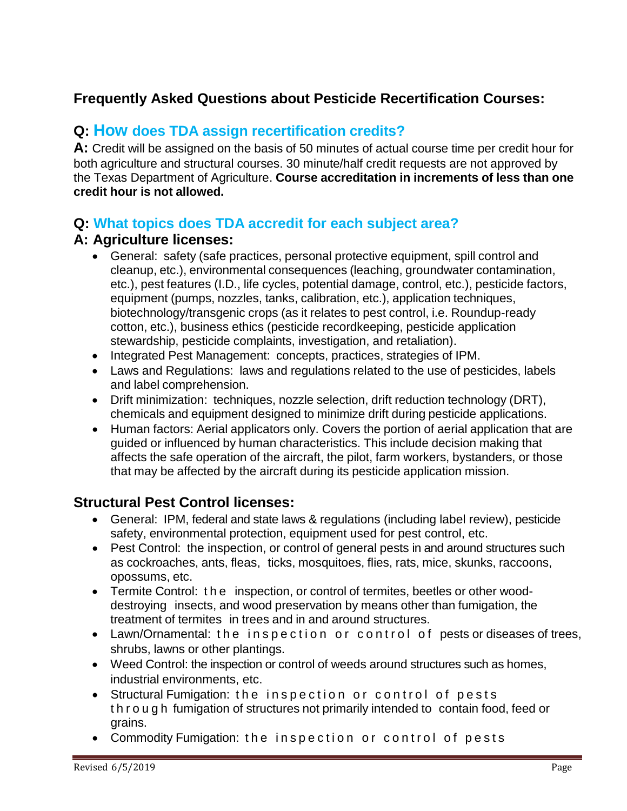## **Frequently Asked Questions about Pesticide Recertification Courses:**

## **Q: How does TDA assign recertification credits?**

**A:** Credit will be assigned on the basis of 50 minutes of actual course time per credit hour for both agriculture and structural courses. 30 minute/half credit requests are not approved by the Texas Department of Agriculture. **Course accreditation in increments of less than one credit hour is not allowed.**

#### **Q: What topics does TDA accredit for each subject area?**

#### **A: Agriculture licenses:**

- General: safety (safe practices, personal protective equipment, spill control and cleanup, etc.), environmental consequences (leaching, groundwater contamination, etc.), pest features (I.D., life cycles, potential damage, control, etc.), pesticide factors, equipment (pumps, nozzles, tanks, calibration, etc.), application techniques, biotechnology/transgenic crops (as it relates to pest control, i.e. Roundup-ready cotton, etc.), business ethics (pesticide recordkeeping, pesticide application stewardship, pesticide complaints, investigation, and retaliation).
- Integrated Pest Management: concepts, practices, strategies of IPM.
- Laws and Regulations: laws and regulations related to the use of pesticides, labels and label comprehension.
- Drift minimization: techniques, nozzle selection, drift reduction technology (DRT), chemicals and equipment designed to minimize drift during pesticide applications.
- Human factors: Aerial applicators only. Covers the portion of aerial application that are guided or influenced by human characteristics. This include decision making that affects the safe operation of the aircraft, the pilot, farm workers, bystanders, or those that may be affected by the aircraft during its pesticide application mission.

#### **Structural Pest Control licenses:**

- General: IPM, federal and state laws & regulations (including label review), pesticide safety, environmental protection, equipment used for pest control, etc.
- Pest Control: the inspection, or control of general pests in and around structures such as cockroaches, ants, fleas, ticks, mosquitoes, flies, rats, mice, skunks, raccoons, opossums, etc.
- Termite Control: t h e inspection, or control of termites, beetles or other wooddestroying insects, and wood preservation by means other than fumigation, the treatment of termites in trees and in and around structures.
- Lawn/Ornamental: the inspection or control of pests or diseases of trees, shrubs, lawns or other plantings.
- Weed Control: the inspection or control of weeds around structures such as homes, industrial environments, etc.
- Structural Fumigation: the inspection or control of pests t h r o u g h fumigation of structures not primarily intended to contain food, feed or grains.
- Commodity Fumigation: the inspection or control of pests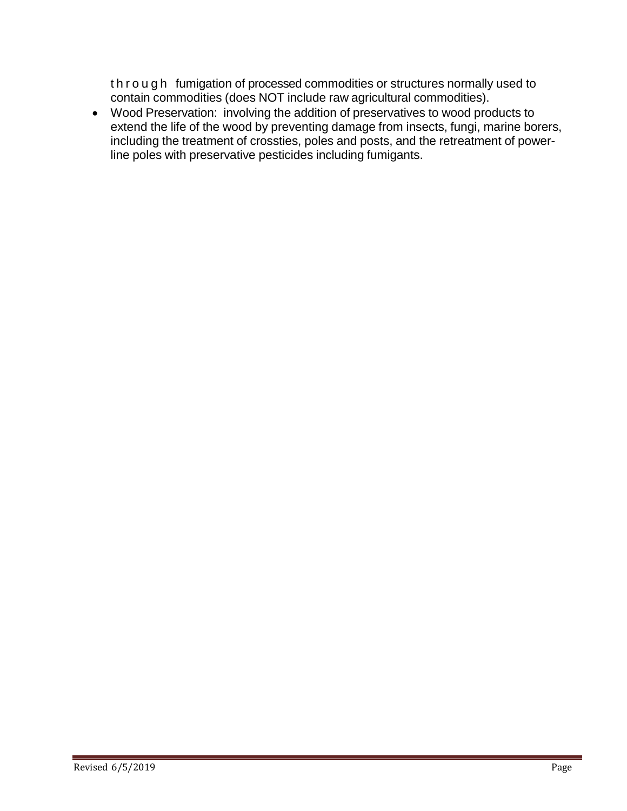t h r o u g h fumigation of processed commodities or structures normally used to contain commodities (does NOT include raw agricultural commodities).

• Wood Preservation: involving the addition of preservatives to wood products to extend the life of the wood by preventing damage from insects, fungi, marine borers, including the treatment of crossties, poles and posts, and the retreatment of powerline poles with preservative pesticides including fumigants.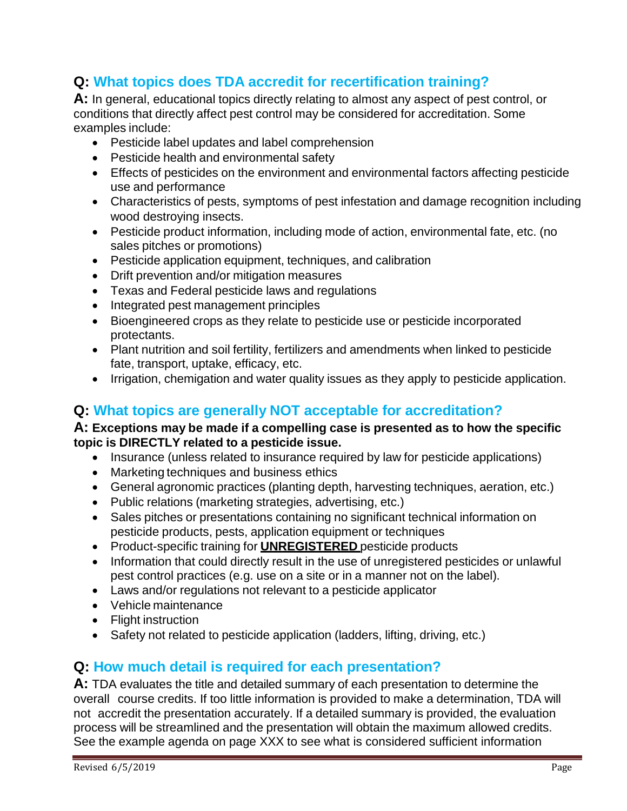## **Q: What topics does TDA accredit for recertification training?**

**A:** In general, educational topics directly relating to almost any aspect of pest control, or conditions that directly affect pest control may be considered for accreditation. Some examples include:

- Pesticide label updates and label comprehension
- Pesticide health and environmental safety
- Effects of pesticides on the environment and environmental factors affecting pesticide use and performance
- Characteristics of pests, symptoms of pest infestation and damage recognition including wood destroying insects.
- Pesticide product information, including mode of action, environmental fate, etc. (no sales pitches or promotions)
- Pesticide application equipment, techniques, and calibration
- Drift prevention and/or mitigation measures
- Texas and Federal pesticide laws and regulations
- Integrated pest management principles
- Bioengineered crops as they relate to pesticide use or pesticide incorporated protectants.
- Plant nutrition and soil fertility, fertilizers and amendments when linked to pesticide fate, transport, uptake, efficacy, etc.
- Irrigation, chemigation and water quality issues as they apply to pesticide application.

## **Q: What topics are generally NOT acceptable for accreditation?**

#### **A: Exceptions may be made if a compelling case is presented as to how the specific topic is DIRECTLY related to a pesticide issue.**

- Insurance (unless related to insurance required by law for pesticide applications)
- Marketing techniques and business ethics
- General agronomic practices (planting depth, harvesting techniques, aeration, etc.)
- Public relations (marketing strategies, advertising, etc.)
- Sales pitches or presentations containing no significant technical information on pesticide products, pests, application equipment or techniques
- Product-specific training for **UNREGISTERED** pesticide products
- Information that could directly result in the use of unregistered pesticides or unlawful pest control practices (e.g. use on a site or in a manner not on the label).
- Laws and/or regulations not relevant to a pesticide applicator
- Vehicle maintenance
- Flight instruction
- Safety not related to pesticide application (ladders, lifting, driving, etc.)

#### **Q: How much detail is required for each presentation?**

**A:** TDA evaluates the title and detailed summary of each presentation to determine the overall course credits. If too little information is provided to make a determination, TDA will not accredit the presentation accurately. If a detailed summary is provided, the evaluation process will be streamlined and the presentation will obtain the maximum allowed credits. See the example agenda on page XXX to see what is considered sufficient information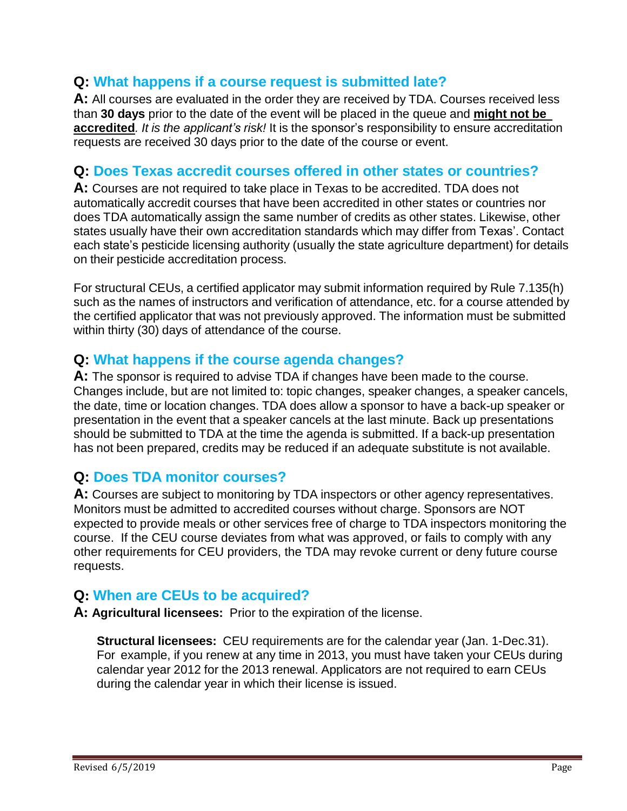#### **Q: What happens if a course request is submitted late?**

**A:** All courses are evaluated in the order they are received by TDA. Courses received less than **30 days** prior to the date of the event will be placed in the queue and **might not be accredited***. It is the applicant's risk!* It is the sponsor's responsibility to ensure accreditation requests are received 30 days prior to the date of the course or event.

#### **Q: Does Texas accredit courses offered in other states or countries?**

**A:** Courses are not required to take place in Texas to be accredited. TDA does not automatically accredit courses that have been accredited in other states or countries nor does TDA automatically assign the same number of credits as other states. Likewise, other states usually have their own accreditation standards which may differ from Texas'. Contact each state's pesticide licensing authority (usually the state agriculture department) for details on their pesticide accreditation process.

For structural CEUs, a certified applicator may submit information required by Rule 7.135(h) such as the names of instructors and verification of attendance, etc. for a course attended by the certified applicator that was not previously approved. The information must be submitted within thirty (30) days of attendance of the course.

#### **Q: What happens if the course agenda changes?**

**A:** The sponsor is required to advise TDA if changes have been made to the course. Changes include, but are not limited to: topic changes, speaker changes, a speaker cancels, the date, time or location changes. TDA does allow a sponsor to have a back-up speaker or presentation in the event that a speaker cancels at the last minute. Back up presentations should be submitted to TDA at the time the agenda is submitted. If a back-up presentation has not been prepared, credits may be reduced if an adequate substitute is not available.

#### **Q: Does TDA monitor courses?**

**A:** Courses are subject to monitoring by TDA inspectors or other agency representatives. Monitors must be admitted to accredited courses without charge. Sponsors are NOT expected to provide meals or other services free of charge to TDA inspectors monitoring the course. If the CEU course deviates from what was approved, or fails to comply with any other requirements for CEU providers, the TDA may revoke current or deny future course requests.

#### **Q: When are CEUs to be acquired?**

**A: Agricultural licensees:** Prior to the expiration of the license.

**Structural licensees:** CEU requirements are for the calendar year (Jan. 1-Dec.31). For example, if you renew at any time in 2013, you must have taken your CEUs during calendar year 2012 for the 2013 renewal. Applicators are not required to earn CEUs during the calendar year in which their license is issued.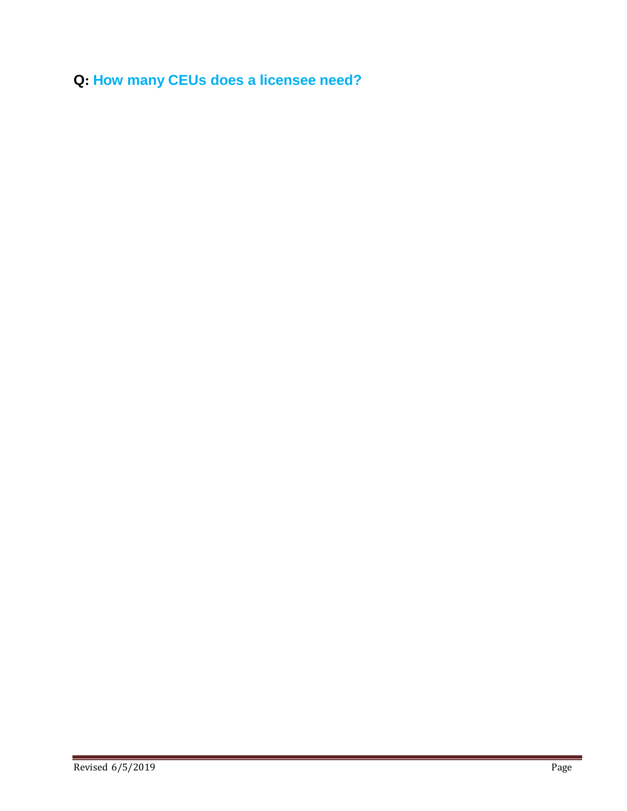**Q: How many CEUs does a licensee need?**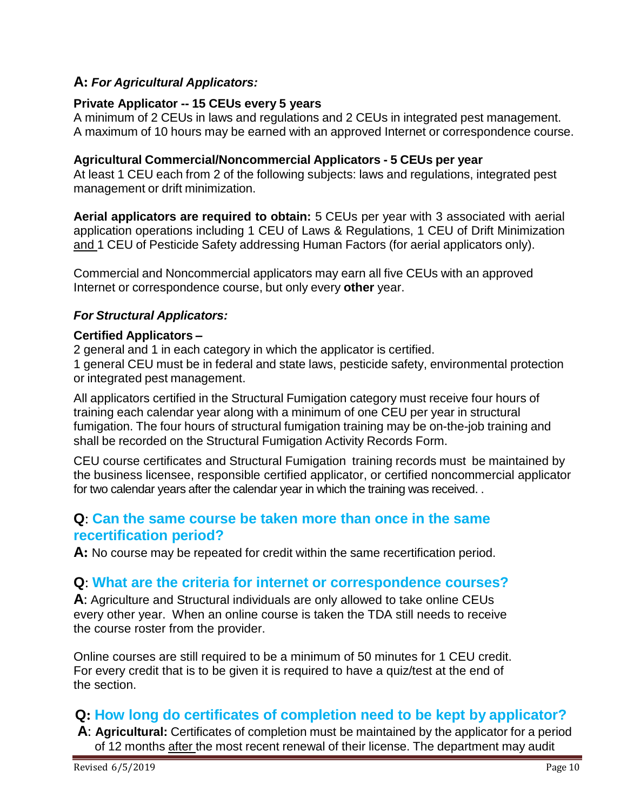#### **A:** *For Agricultural Applicators:*

#### **Private Applicator -- 15 CEUs every 5 years**

A minimum of 2 CEUs in laws and regulations and 2 CEUs in integrated pest management. A maximum of 10 hours may be earned with an approved Internet or correspondence course.

#### **Agricultural Commercial/Noncommercial Applicators - 5 CEUs per year**

At least 1 CEU each from 2 of the following subjects: laws and regulations, integrated pest management or drift minimization.

**Aerial applicators are required to obtain:** 5 CEUs per year with 3 associated with aerial application operations including 1 CEU of Laws & Regulations, 1 CEU of Drift Minimization and 1 CEU of Pesticide Safety addressing Human Factors (for aerial applicators only).

Commercial and Noncommercial applicators may earn all five CEUs with an approved Internet or correspondence course, but only every **other** year.

#### *For Structural Applicators:*

#### **Certified Applicators –**

2 general and 1 in each category in which the applicator is certified.

1 general CEU must be in federal and state laws, pesticide safety, environmental protection or integrated pest management.

All applicators certified in the Structural Fumigation category must receive four hours of training each calendar year along with a minimum of one CEU per year in structural fumigation. The four hours of structural fumigation training may be on-the-job training and shall be recorded on the Structural Fumigation Activity Records Form.

CEU course certificates and Structural Fumigation training records must be maintained by the business licensee, responsible certified applicator, or certified noncommercial applicator for two calendar years after the calendar year in which the training was received. .

#### **Q**: **Can the same course be taken more than once in the same recertification period?**

**A:** No course may be repeated for credit within the same recertification period.

#### **Q**: **What are the criteria for internet or correspondence courses?**

**A**: Agriculture and Structural individuals are only allowed to take online CEUs every other year. When an online course is taken the TDA still needs to receive the course roster from the provider.

Online courses are still required to be a minimum of 50 minutes for 1 CEU credit. For every credit that is to be given it is required to have a quiz/test at the end of the section.

## **Q: How long do certificates of completion need to be kept by applicator?**

**A**: **Agricultural:** Certificates of completion must be maintained by the applicator for a period of 12 months after the most recent renewal of their license. The department may audit